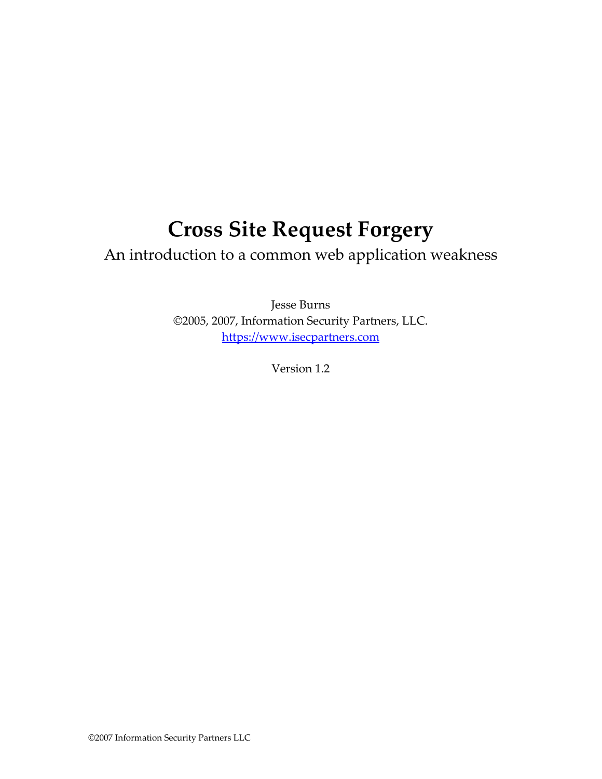# **Cross Site Request Forgery**

# An introduction to a common web application weakness

Jesse Burns ©2005, 2007, Information Security Partners, LLC. [https://www.isecpartners.com](https://www.isecpartners.com/)

Version 1.2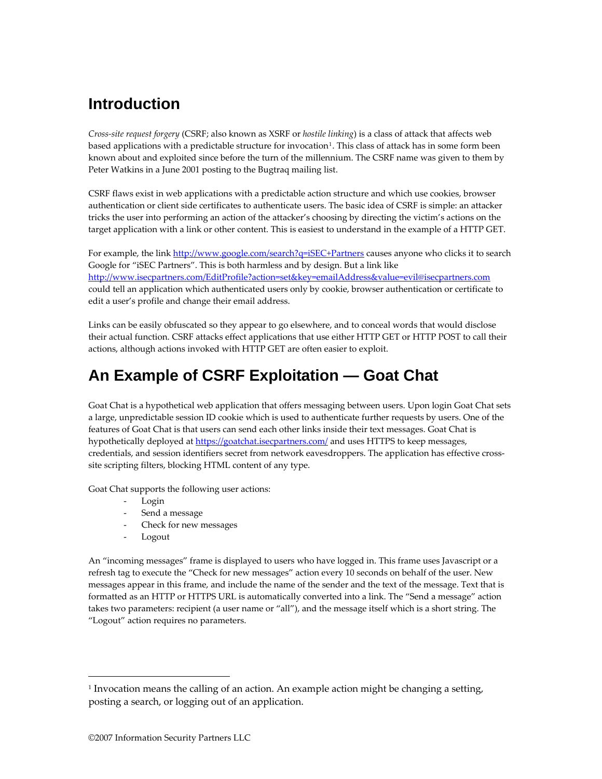# **Introduction**

*Cross‐site request forgery* (CSRF; also known as XSRF or *hostile linking*) is a class of attack that affects web based applications with a predictable structure for invocation<sup>[1](#page-1-0)</sup>. This class of attack has in some form been known about and exploited since before the turn of the millennium. The CSRF name was given to them by Peter Watkins in a June 2001 posting to the Bugtraq mailing list.

CSRF flaws exist in web applications with a predictable action structure and which use cookies, browser authentication or client side certificates to authenticate users. The basic idea of CSRF is simple: an attacker tricks the user into performing an action of the attacker's choosing by directing the victim's actions on the target application with a link or other content. This is easiest to understand in the example of a HTTP GET.

For example, the link <http://www.google.com/search?q=iSEC+Partners> causes anyone who clicks it to search Google for "iSEC Partners". This is both harmless and by design. But a link like <http://www.isecpartners.com/EditProfile?action=set&key=emailAddress&value=evil@isecpartners.com> could tell an application which authenticated users only by cookie, browser authentication or certificate to edit a user's profile and change their email address.

Links can be easily obfuscated so they appear to go elsewhere, and to conceal words that would disclose their actual function. CSRF attacks effect applications that use either HTTP GET or HTTP POST to call their actions, although actions invoked with HTTP GET are often easier to exploit.

# **An Example of CSRF Exploitation — Goat Chat**

Goat Chat is a hypothetical web application that offers messaging between users. Upon login Goat Chat sets a large, unpredictable session ID cookie which is used to authenticate further requests by users. One of the features of Goat Chat is that users can send each other links inside their text messages. Goat Chat is hypothetically deployed at <https://goatchat.isecpartners.com/> and uses HTTPS to keep messages, credentials, and session identifiers secret from network eavesdroppers. The application has effective cross‐ site scripting filters, blocking HTML content of any type.

Goat Chat supports the following user actions:

- ‐ Login
- Send a message
- ‐ Check for new messages
- ‐ Logout

An "incoming messages" frame is displayed to users who have logged in. This frame uses Javascript or a refresh tag to execute the "Check for new messages" action every 10 seconds on behalf of the user. New messages appear in this frame, and include the name of the sender and the text of the message. Text that is formatted as an HTTP or HTTPS URL is automatically converted into a link. The "Send a message" action takes two parameters: recipient (a user name or "all"), and the message itself which is a short string. The "Logout" action requires no parameters.

 $\overline{\phantom{a}}$  ,  $\overline{\phantom{a}}$  ,  $\overline{\phantom{a}}$  ,  $\overline{\phantom{a}}$  ,  $\overline{\phantom{a}}$  ,  $\overline{\phantom{a}}$  ,  $\overline{\phantom{a}}$  ,  $\overline{\phantom{a}}$  ,  $\overline{\phantom{a}}$  ,  $\overline{\phantom{a}}$  ,  $\overline{\phantom{a}}$  ,  $\overline{\phantom{a}}$  ,  $\overline{\phantom{a}}$  ,  $\overline{\phantom{a}}$  ,  $\overline{\phantom{a}}$  ,  $\overline{\phantom{a}}$ 

<span id="page-1-0"></span> $<sup>1</sup>$  Invocation means the calling of an action. An example action might be changing a setting,</sup> posting a search, or logging out of an application.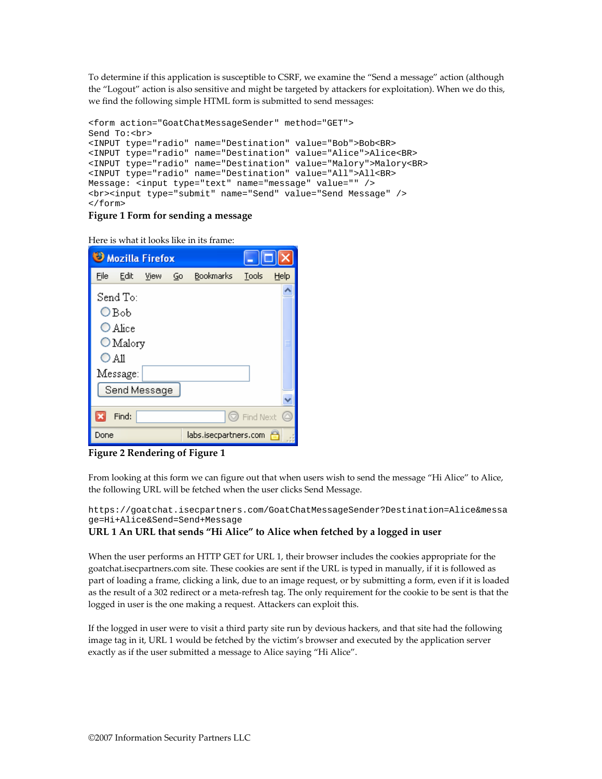To determine if this application is susceptible to CSRF, we examine the "Send a message" action (although the "Logout" action is also sensitive and might be targeted by attackers for exploitation). When we do this, we find the following simple HTML form is submitted to send messages:

```
<form action="GoatChatMessageSender" method="GET"> 
Send To:<br> 
<INPUT type="radio" name="Destination" value="Bob">Bob<BR> 
<INPUT type="radio" name="Destination" value="Alice">Alice<BR> 
<INPUT type="radio" name="Destination" value="Malory">Malory<BR> 
<INPUT type="radio" name="Destination" value="All">All<BR> 
Message: <input type="text" name="message" value="" /> 
<br><input type="submit" name="Send" value="Send Message" />
</form>
```
#### **Figure 1 Form for sending a message**

Here is what it looks like in its frame:

| Mozilla Firefox | m    |    |                       |           |      |
|-----------------|------|----|-----------------------|-----------|------|
| File<br>Edit    | View | Go | Bookmarks             | Tools     | Help |
| Send To:        |      |    |                       |           |      |
| OBob            |      |    |                       |           |      |
| O Alice         |      |    |                       |           |      |
| O Malory        |      |    |                       |           |      |
| O A11           |      |    |                       |           |      |
| Message:        |      |    |                       |           |      |
| Send Message    |      |    |                       |           |      |
|                 |      |    |                       |           |      |
| Find:           |      |    |                       | Find Next |      |
| Done            |      |    | labs.isecpartners.com |           |      |

**Figure 2 Rendering of Figure 1**

From looking at this form we can figure out that when users wish to send the message "Hi Alice" to Alice, the following URL will be fetched when the user clicks Send Message.

https://goatchat.isecpartners.com/GoatChatMessageSender?Destination=Alice&messa ge=Hi+Alice&Send=Send+Message

#### **URL 1 An URL that sends "Hi Alice" to Alice when fetched by a logged in user**

When the user performs an HTTP GET for URL 1, their browser includes the cookies appropriate for the goatchat.isecpartners.com site. These cookies are sent if the URL is typed in manually, if it is followed as part of loading a frame, clicking a link, due to an image request, or by submitting a form, even if it is loaded as the result of a 302 redirect or a meta‐refresh tag. The only requirement for the cookie to be sent is that the logged in user is the one making a request. Attackers can exploit this.

If the logged in user were to visit a third party site run by devious hackers, and that site had the following image tag in it, URL 1 would be fetched by the victim's browser and executed by the application server exactly as if the user submitted a message to Alice saying "Hi Alice".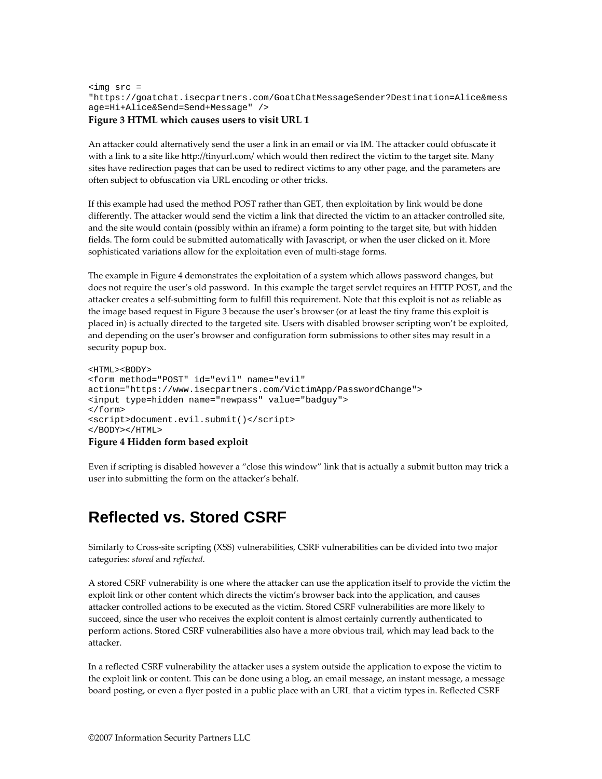```
<img src = 
"https://goatchat.isecpartners.com/GoatChatMessageSender?Destination=Alice&mess
age=Hi+Alice&Send=Send+Message" />
```
#### **Figure 3 HTML which causes users to visit URL 1**

An attacker could alternatively send the user a link in an email or via IM. The attacker could obfuscate it with a link to a site like http://tinyurl.com/ which would then redirect the victim to the target site. Many sites have redirection pages that can be used to redirect victims to any other page, and the parameters are often subject to obfuscation via URL encoding or other tricks.

If this example had used the method POST rather than GET, then exploitation by link would be done differently. The attacker would send the victim a link that directed the victim to an attacker controlled site, and the site would contain (possibly within an iframe) a form pointing to the target site, but with hidden fields. The form could be submitted automatically with Javascript, or when the user clicked on it. More sophisticated variations allow for the exploitation even of multi-stage forms.

The example in Figure 4 demonstrates the exploitation of a system which allows password changes, but does not require the user's old password. In this example the target servlet requires an HTTP POST, and the attacker creates a self‐submitting form to fulfill this requirement. Note that this exploit is not as reliable as the image based request in Figure 3 because the user's browser (or at least the tiny frame this exploit is placed in) is actually directed to the targeted site. Users with disabled browser scripting won't be exploited, and depending on the user's browser and configuration form submissions to other sites may result in a security popup box.

```
<HTML><BODY> 
<form method="POST" id="evil" name="evil" 
action="https://www.isecpartners.com/VictimApp/PasswordChange"> 
<input type=hidden name="newpass" value="badguy"> 
</form> 
<script>document.evil.submit()</script> 
</BODY></HTML>
```
#### **Figure 4 Hidden form based exploit**

Even if scripting is disabled however a "close this window" link that is actually a submit button may trick a user into submitting the form on the attacker's behalf.

# **Reflected vs. Stored CSRF**

Similarly to Cross‐site scripting (XSS) vulnerabilities, CSRF vulnerabilities can be divided into two major categories: *stored* and *reflected*.

A stored CSRF vulnerability is one where the attacker can use the application itself to provide the victim the exploit link or other content which directs the victim's browser back into the application, and causes attacker controlled actions to be executed as the victim. Stored CSRF vulnerabilities are more likely to succeed, since the user who receives the exploit content is almost certainly currently authenticated to perform actions. Stored CSRF vulnerabilities also have a more obvious trail, which may lead back to the attacker.

In a reflected CSRF vulnerability the attacker uses a system outside the application to expose the victim to the exploit link or content. This can be done using a blog, an email message, an instant message, a message board posting, or even a flyer posted in a public place with an URL that a victim types in. Reflected CSRF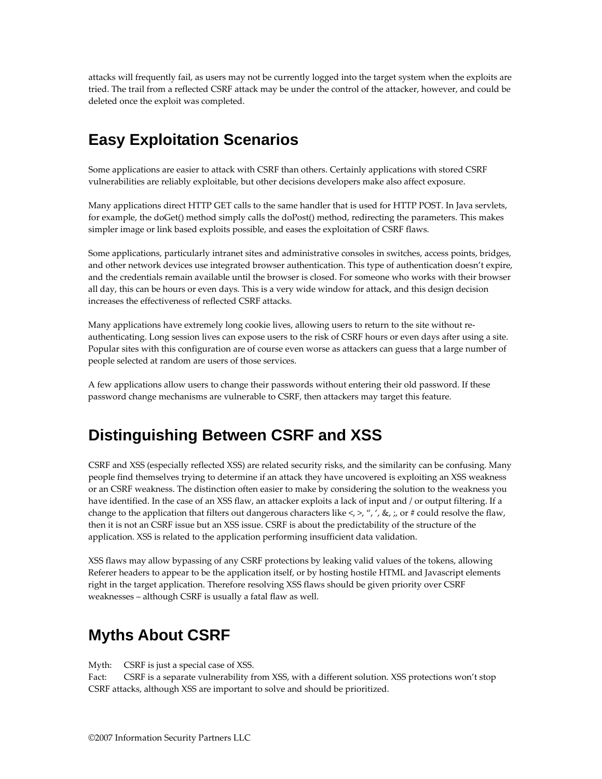attacks will frequently fail, as users may not be currently logged into the target system when the exploits are tried. The trail from a reflected CSRF attack may be under the control of the attacker, however, and could be deleted once the exploit was completed.

## **Easy Exploitation Scenarios**

Some applications are easier to attack with CSRF than others. Certainly applications with stored CSRF vulnerabilities are reliably exploitable, but other decisions developers make also affect exposure.

Many applications direct HTTP GET calls to the same handler that is used for HTTP POST. In Java servlets, for example, the doGet() method simply calls the doPost() method, redirecting the parameters. This makes simpler image or link based exploits possible, and eases the exploitation of CSRF flaws.

Some applications, particularly intranet sites and administrative consoles in switches, access points, bridges, and other network devices use integrated browser authentication. This type of authentication doesn't expire, and the credentials remain available until the browser is closed. For someone who works with their browser all day, this can be hours or even days. This is a very wide window for attack, and this design decision increases the effectiveness of reflected CSRF attacks.

Many applications have extremely long cookie lives, allowing users to return to the site without re‐ authenticating. Long session lives can expose users to the risk of CSRF hours or even days after using a site. Popular sites with this configuration are of course even worse as attackers can guess that a large number of people selected at random are users of those services.

A few applications allow users to change their passwords without entering their old password. If these password change mechanisms are vulnerable to CSRF, then attackers may target this feature.

### **Distinguishing Between CSRF and XSS**

CSRF and XSS (especially reflected XSS) are related security risks, and the similarity can be confusing. Many people find themselves trying to determine if an attack they have uncovered is exploiting an XSS weakness or an CSRF weakness. The distinction often easier to make by considering the solution to the weakness you have identified. In the case of an XSS flaw, an attacker exploits a lack of input and / or output filtering. If a change to the application that filters out dangerous characters like  $\lt,$  >, ", ", &, ", or # could resolve the flaw, then it is not an CSRF issue but an XSS issue. CSRF is about the predictability of the structure of the application. XSS is related to the application performing insufficient data validation.

XSS flaws may allow bypassing of any CSRF protections by leaking valid values of the tokens, allowing Referer headers to appear to be the application itself, or by hosting hostile HTML and Javascript elements right in the target application. Therefore resolving XSS flaws should be given priority over CSRF weaknesses – although CSRF is usually a fatal flaw as well.

# **Myths About CSRF**

Myth: CSRF is just a special case of XSS.

Fact: CSRF is a separate vulnerability from XSS, with a different solution. XSS protections won't stop CSRF attacks, although XSS are important to solve and should be prioritized.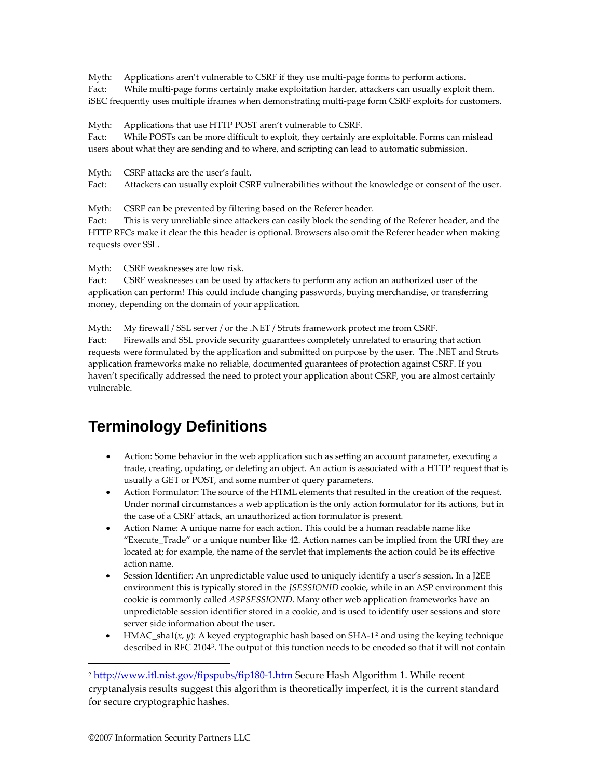Myth: Applications aren't vulnerable to CSRF if they use multi-page forms to perform actions.

Fact: While multi-page forms certainly make exploitation harder, attackers can usually exploit them. iSEC frequently uses multiple iframes when demonstrating multi‐page form CSRF exploits for customers.

Myth: Applications that use HTTP POST aren't vulnerable to CSRF.

Fact: While POSTs can be more difficult to exploit, they certainly are exploitable. Forms can mislead users about what they are sending and to where, and scripting can lead to automatic submission.

Myth: CSRF attacks are the user's fault.

Fact: Attackers can usually exploit CSRF vulnerabilities without the knowledge or consent of the user.

Myth: CSRF can be prevented by filtering based on the Referer header.

Fact: This is very unreliable since attackers can easily block the sending of the Referer header, and the HTTP RFCs make it clear the this header is optional. Browsers also omit the Referer header when making requests over SSL.

Myth: CSRF weaknesses are low risk.

Fact: CSRF weaknesses can be used by attackers to perform any action an authorized user of the application can perform! This could include changing passwords, buying merchandise, or transferring money, depending on the domain of your application.

Myth: My firewall / SSL server / or the .NET / Struts framework protect me from CSRF.

Fact: Firewalls and SSL provide security guarantees completely unrelated to ensuring that action requests were formulated by the application and submitted on purpose by the user. The .NET and Struts application frameworks make no reliable, documented guarantees of protection against CSRF. If you haven't specifically addressed the need to protect your application about CSRF, you are almost certainly vulnerable.

## **Terminology Definitions**

- Action: Some behavior in the web application such as setting an account parameter, executing a trade, creating, updating, or deleting an object. An action is associated with a HTTP request that is usually a GET or POST, and some number of query parameters.
- Action Formulator: The source of the HTML elements that resulted in the creation of the request. Under normal circumstances a web application is the only action formulator for its actions, but in the case of a CSRF attack, an unauthorized action formulator is present.
- Action Name: A unique name for each action. This could be a human readable name like "Execute\_Trade" or a unique number like 42. Action names can be implied from the URI they are located at; for example, the name of the servlet that implements the action could be its effective action name.
- <span id="page-5-1"></span>• Session Identifier: An unpredictable value used to uniquely identify a user's session. In a J2EE environment this is typically stored in the *JSESSIONID* cookie, while in an ASP environment this cookie is commonly called *ASPSESSIONID*. Many other web application frameworks have an unpredictable session identifier stored in a cookie, and is used to identify user sessions and store server side information about the user.
- HMAC\_sha1(*x*, *y*): A keyed cryptographic hash based on SHA-1<sup>[2](#page-5-0)</sup> and using the keying technique described in RFC 2104[3](#page-5-1). The output of this function needs to be encoded so that it will not contain

 $\overline{\phantom{a}}$  ,  $\overline{\phantom{a}}$  ,  $\overline{\phantom{a}}$  ,  $\overline{\phantom{a}}$  ,  $\overline{\phantom{a}}$  ,  $\overline{\phantom{a}}$  ,  $\overline{\phantom{a}}$  ,  $\overline{\phantom{a}}$  ,  $\overline{\phantom{a}}$  ,  $\overline{\phantom{a}}$  ,  $\overline{\phantom{a}}$  ,  $\overline{\phantom{a}}$  ,  $\overline{\phantom{a}}$  ,  $\overline{\phantom{a}}$  ,  $\overline{\phantom{a}}$  ,  $\overline{\phantom{a}}$ 

<span id="page-5-0"></span><sup>&</sup>lt;sup>2</sup> [http://www.itl.nist.gov/fipspubs/fip180](http://www.itl.nist.gov/fipspubs/fip180-1.htm)-1.htm Secure Hash Algorithm 1. While recent cryptanalysis results suggest this algorithm is theoretically imperfect, it is the current standard for secure cryptographic hashes.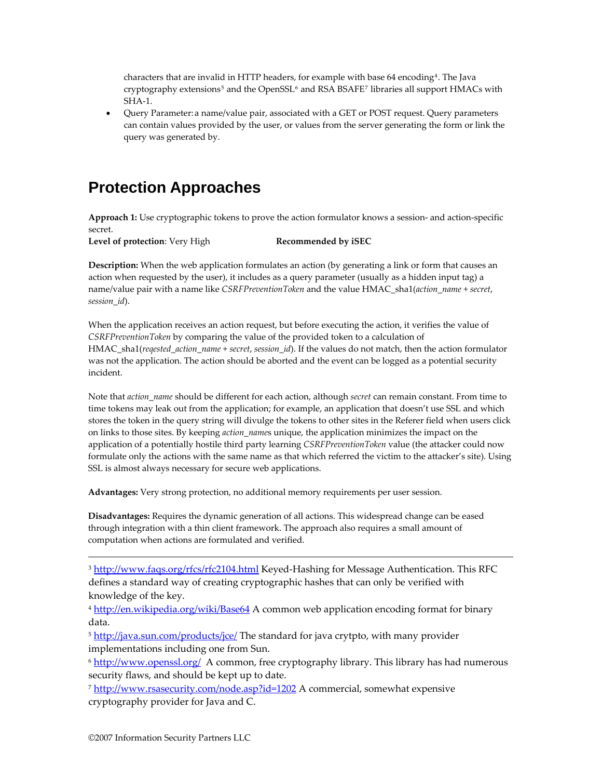characters that are invalid in HTTP headers, for example with base 64 encoding<sup>4</sup>. The Java cryptography extensions<sup>5</sup> and the OpenSSL<sup>6</sup> and RSA BSAFE<sup>7</sup> libraries all support HMACs with SHA-1.

• Query Parameter:a name/value pair, associated with a GET or POST request. Query parameters can contain values provided by the user, or values from the server generating the form or link the query was generated by.

# **Protection Approaches**

**Approach 1:** Use cryptographic tokens to prove the action formulator knows a session- and action-specific secret.

**Level of protection**: Very High **Recommended by iSEC**

**Description:** When the web application formulates an action (by generating a link or form that causes an action when requested by the user), it includes as a query parameter (usually as a hidden input tag) a name/value pair with a name like *CSRFPreventionToken* and the value HMAC\_sha1(*action\_name* + *secret*, *session\_id*).

When the application receives an action request, but before executing the action, it verifies the value of *CSRFPreventionToken* by comparing the value of the provided token to a calculation of HMAC\_sha1(*reqested\_action\_name* + *secret*, *session\_id*). If the values do not match, then the action formulator was not the application. The action should be aborted and the event can be logged as a potential security incident.

Note that *action\_name* should be different for each action, although *secret* can remain constant. From time to time tokens may leak out from the application; for example, an application that doesn't use SSL and which stores the token in the query string will divulge the tokens to other sites in the Referer field when users click on links to those sites. By keeping *action\_name*s unique, the application minimizes the impact on the application of a potentially hostile third party learning *CSRFPreventionToken* value (the attacker could now formulate only the actions with the same name as that which referred the victim to the attacker's site). Using SSL is almost always necessary for secure web applications.

**Advantages:** Very strong protection, no additional memory requirements per user session.

**Disadvantages:** Requires the dynamic generation of all actions. This widespread change can be eased through integration with a thin client framework. The approach also requires a small amount of computation when actions are formulated and verified.

<sup>3</sup> <http://www.faqs.org/rfcs/rfc2104.html> Keyed-Hashing for Message Authentication. This RFC defines a standard way of creating cryptographic hashes that can only be verified with knowledge of the key.

 $\mathcal{L}=\mathcal{L}^{(1)}$  , we have a set of  $\mathcal{L}^{(2)}$  , we have a set of  $\mathcal{L}^{(1)}$  , we have  $\mathcal{L}^{(2)}$ 

<sup>4</sup> <http://en.wikipedia.org/wiki/Base64> A common web application encoding format for binary data.

<sup>5</sup> <http://java.sun.com/products/jce/> The standard for java crytpto, with many provider implementations including one from Sun.

<sup>7</sup> <http://www.rsasecurity.com/node.asp?id=1202> A commercial, somewhat expensive cryptography provider for Java and C.

 $6$  <http://www.openssl.org/> A common, free cryptography library. This library has had numerous security flaws, and should be kept up to date.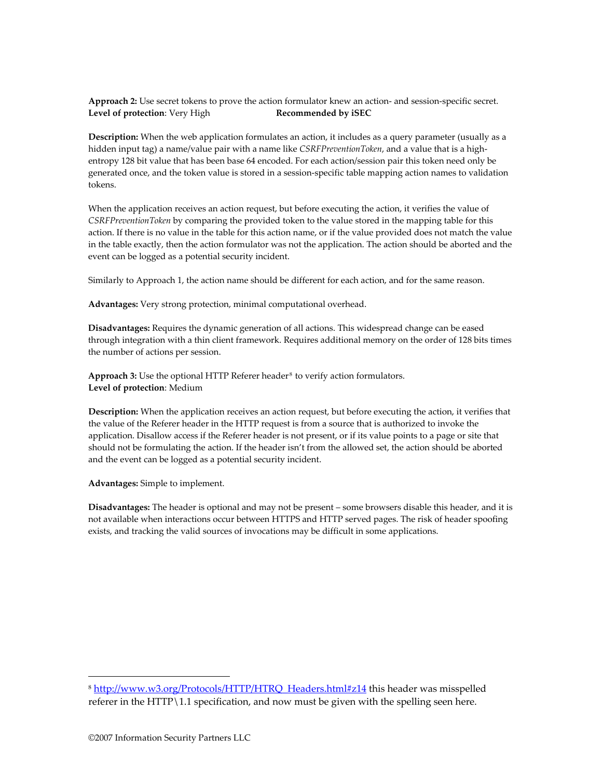**Approach 2:** Use secret tokens to prove the action formulator knew an action‐ and session‐specific secret. **Level of protection**: Very High **Recommended by iSEC**

**Description:** When the web application formulates an action, it includes as a query parameter (usually as a hidden input tag) a name/value pair with a name like *CSRFPreventionToken*, and a value that is a high‐ entropy 128 bit value that has been base 64 encoded. For each action/session pair this token need only be generated once, and the token value is stored in a session‐specific table mapping action names to validation tokens.

When the application receives an action request, but before executing the action, it verifies the value of *CSRFPreventionToken* by comparing the provided token to the value stored in the mapping table for this action. If there is no value in the table for this action name, or if the value provided does not match the value in the table exactly, then the action formulator was not the application. The action should be aborted and the event can be logged as a potential security incident.

Similarly to Approach 1, the action name should be different for each action, and for the same reason.

**Advantages:** Very strong protection, minimal computational overhead.

**Disadvantages:** Requires the dynamic generation of all actions. This widespread change can be eased through integration with a thin client framework. Requires additional memory on the order of 128 bits times the number of actions per session.

Approach 3: Use the optional HTTP Referer header<sup>[8](#page-7-0)</sup> to verify action formulators. **Level of protection**: Medium

**Description:** When the application receives an action request, but before executing the action, it verifies that the value of the Referer header in the HTTP request is from a source that is authorized to invoke the application. Disallow access if the Referer header is not present, or if its value points to a page or site that should not be formulating the action. If the header isn't from the allowed set, the action should be aborted and the event can be logged as a potential security incident.

**Advantages:** Simple to implement.

**Disadvantages:** The header is optional and may not be present – some browsers disable this header, and it is not available when interactions occur between HTTPS and HTTP served pages. The risk of header spoofing exists, and tracking the valid sources of invocations may be difficult in some applications.

 $\overline{\phantom{a}}$  ,  $\overline{\phantom{a}}$  ,  $\overline{\phantom{a}}$  ,  $\overline{\phantom{a}}$  ,  $\overline{\phantom{a}}$  ,  $\overline{\phantom{a}}$  ,  $\overline{\phantom{a}}$  ,  $\overline{\phantom{a}}$  ,  $\overline{\phantom{a}}$  ,  $\overline{\phantom{a}}$  ,  $\overline{\phantom{a}}$  ,  $\overline{\phantom{a}}$  ,  $\overline{\phantom{a}}$  ,  $\overline{\phantom{a}}$  ,  $\overline{\phantom{a}}$  ,  $\overline{\phantom{a}}$ 

<span id="page-7-0"></span><sup>8</sup> [http://www.w3.org/Protocols/HTTP/HTRQ\\_Headers.html#z14](http://www.w3.org/Protocols/HTTP/HTRQ_Headers.html#z14) this header was misspelled referer in the HTTP\1.1 specification, and now must be given with the spelling seen here.